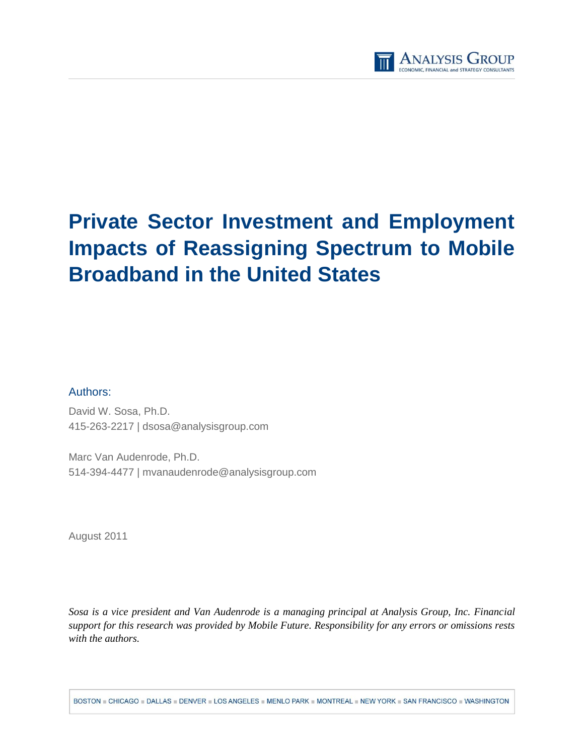

# **Private Sector Investment and Employment Impacts of Reassigning Spectrum to Mobile Broadband in the United States**

## Authors:

David W. Sosa, Ph.D. 415-263-2217 | [dsosa@analysisgroup.com](mailto:dsosa@analysisgroup.com)

Marc Van Audenrode, Ph.D. 514-394-4477 | mvanaudenrode@analysisgroup.com

August 2011

*Sosa is a vice president and Van Audenrode is a managing principal at Analysis Group, Inc. Financial support for this research was provided by Mobile Future. Responsibility for any errors or omissions rests with the authors.*

BOSTON = CHICAGO = DALLAS = DENVER = LOS ANGELES = MENLO PARK = MONTREAL = NEW YORK = SAN FRANCISCO = WASHINGTON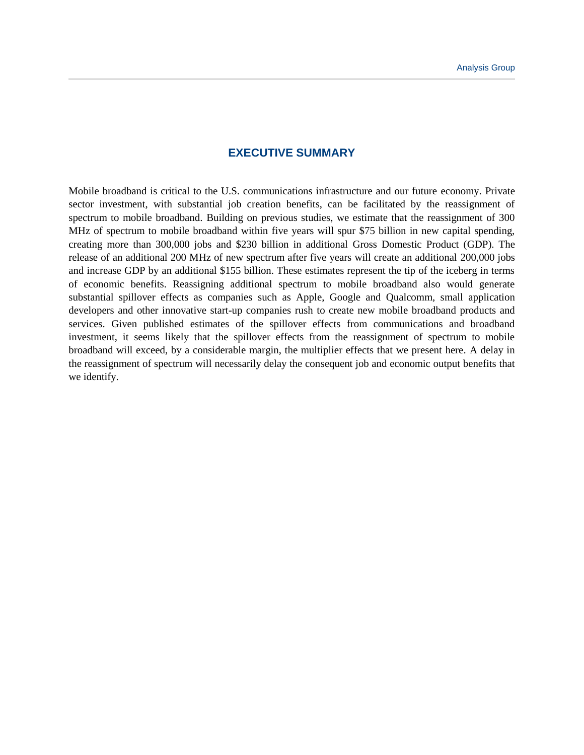## **EXECUTIVE SUMMARY**

Mobile broadband is critical to the U.S. communications infrastructure and our future economy. Private sector investment, with substantial job creation benefits, can be facilitated by the reassignment of spectrum to mobile broadband. Building on previous studies, we estimate that the reassignment of 300 MHz of spectrum to mobile broadband within five years will spur \$75 billion in new capital spending, creating more than 300,000 jobs and \$230 billion in additional Gross Domestic Product (GDP). The release of an additional 200 MHz of new spectrum after five years will create an additional 200,000 jobs and increase GDP by an additional \$155 billion. These estimates represent the tip of the iceberg in terms of economic benefits. Reassigning additional spectrum to mobile broadband also would generate substantial spillover effects as companies such as Apple, Google and Qualcomm, small application developers and other innovative start-up companies rush to create new mobile broadband products and services. Given published estimates of the spillover effects from communications and broadband investment, it seems likely that the spillover effects from the reassignment of spectrum to mobile broadband will exceed, by a considerable margin, the multiplier effects that we present here. A delay in the reassignment of spectrum will necessarily delay the consequent job and economic output benefits that we identify.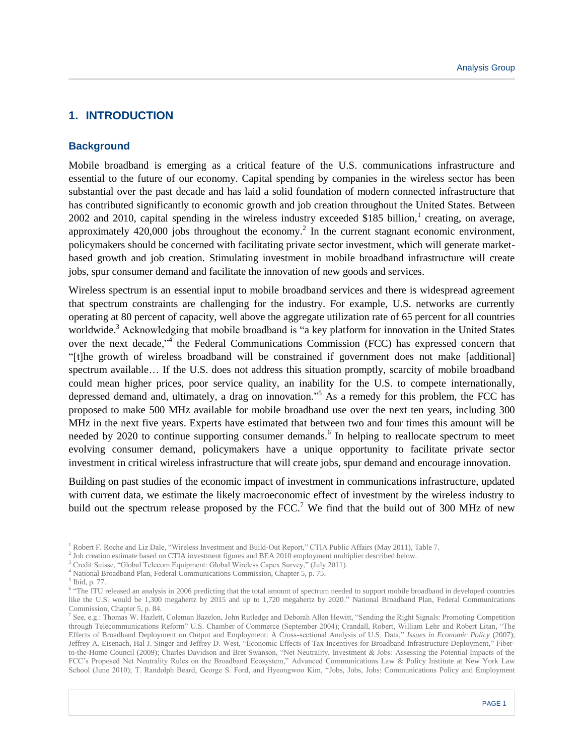# **1. INTRODUCTION**

#### **Background**

Mobile broadband is emerging as a critical feature of the U.S. communications infrastructure and essential to the future of our economy. Capital spending by companies in the wireless sector has been substantial over the past decade and has laid a solid foundation of modern connected infrastructure that has contributed significantly to economic growth and job creation throughout the United States. Between  $2002$  and  $2010$ , capital spending in the wireless industry exceeded \$185 billion,<sup>1</sup> creating, on average, approximately  $420,000$  jobs throughout the economy.<sup>2</sup> In the current stagnant economic environment, policymakers should be concerned with facilitating private sector investment, which will generate marketbased growth and job creation. Stimulating investment in mobile broadband infrastructure will create jobs, spur consumer demand and facilitate the innovation of new goods and services.

Wireless spectrum is an essential input to mobile broadband services and there is widespread agreement that spectrum constraints are challenging for the industry. For example, U.S. networks are currently operating at 80 percent of capacity, well above the aggregate utilization rate of 65 percent for all countries worldwide.<sup>3</sup> Acknowledging that mobile broadband is "a key platform for innovation in the United States over the next decade,"<sup>4</sup> the Federal Communications Commission (FCC) has expressed concern that "[t]he growth of wireless broadband will be constrained if government does not make [additional] spectrum available... If the U.S. does not address this situation promptly, scarcity of mobile broadband could mean higher prices, poor service quality, an inability for the U.S. to compete internationally, depressed demand and, ultimately, a drag on innovation."<sup>5</sup> As a remedy for this problem, the FCC has proposed to make 500 MHz available for mobile broadband use over the next ten years, including 300 MHz in the next five years. Experts have estimated that between two and four times this amount will be needed by 2020 to continue supporting consumer demands.<sup>6</sup> In helping to reallocate spectrum to meet evolving consumer demand, policymakers have a unique opportunity to facilitate private sector investment in critical wireless infrastructure that will create jobs, spur demand and encourage innovation.

Building on past studies of the economic impact of investment in communications infrastructure, updated with current data, we estimate the likely macroeconomic effect of investment by the wireless industry to build out the spectrum release proposed by the FCC.<sup>7</sup> We find that the build out of 300 MHz of new

<sup>4</sup> National Broadband Plan, Federal Communications Commission, Chapter 5, p. 75.

<sup>1</sup> Robert F. Roche and Liz Dale, "Wireless Investment and Build-Out Report," CTIA Public Affairs (May 2011), Table 7.

<sup>&</sup>lt;sup>2</sup> Job creation estimate based on CTIA investment figures and BEA 2010 employment multiplier described below.

<sup>3</sup> Credit Suisse, "Global Telecom Equipment: Global Wireless Capex Survey," (July 2011).

<sup>5</sup> Ibid, p. 77.

<sup>&</sup>lt;sup>6</sup> "The ITU released an analysis in 2006 predicting that the total amount of spectrum needed to support mobile broadband in developed countries like the U.S. would be 1,300 megahertz by 2015 and up to 1,720 megahertz by 2020." National Broadband Plan, Federal Communications Commission, Chapter 5, p. 84.

<sup>7</sup> See, e.g.: Thomas W. Hazlett, Coleman Bazelon, John Rutledge and Deborah Allen Hewitt, "Sending the Right Signals: Promoting Competition through Telecommunications Reform" U.S. Chamber of Commerce (September 2004); Crandall, Robert, William Lehr and Robert Litan, "The Effects of Broadband Deployment on Output and Employment: A Cross-sectional Analysis of U.S. Data," *Issues in Economic Policy* (2007); Jeffrey A. Eisenach, Hal J. Singer and Jeffrey D. West, "Economic Effects of Tax Incentives for Broadband Infrastructure Deployment," Fiberto-the-Home Council (2009); Charles Davidson and Bret Swanson, "Net Neutrality, Investment & Jobs: Assessing the Potential Impacts of the FCC's Proposed Net Neutrality Rules on the Broadband Ecosystem," Advanced Communications Law & Policy Institute at New York Law School (June 2010); T. Randolph Beard, George S. Ford, and Hyeongwoo Kim, "Jobs, Jobs, Jobs: Communications Policy and Employment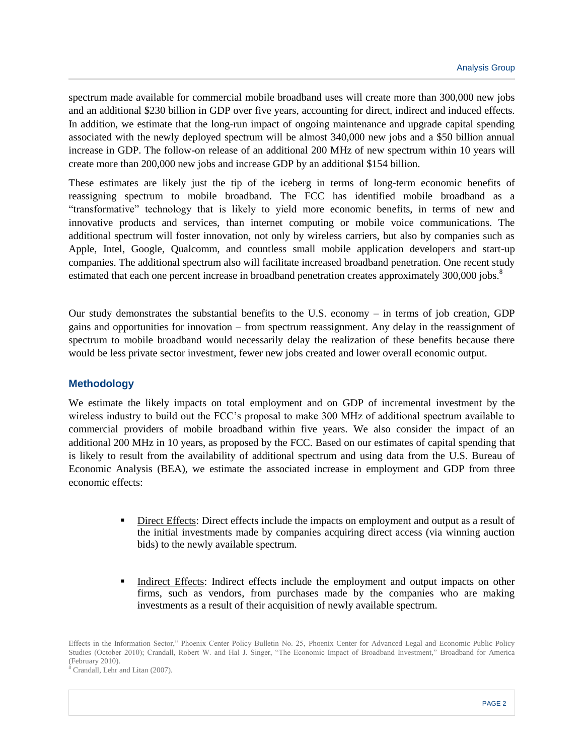spectrum made available for commercial mobile broadband uses will create more than 300,000 new jobs and an additional \$230 billion in GDP over five years, accounting for direct, indirect and induced effects. In addition, we estimate that the long-run impact of ongoing maintenance and upgrade capital spending associated with the newly deployed spectrum will be almost 340,000 new jobs and a \$50 billion annual increase in GDP. The follow-on release of an additional 200 MHz of new spectrum within 10 years will create more than 200,000 new jobs and increase GDP by an additional \$154 billion.

These estimates are likely just the tip of the iceberg in terms of long-term economic benefits of reassigning spectrum to mobile broadband. The FCC has identified mobile broadband as a "transformative" technology that is likely to yield more economic benefits, in terms of new and innovative products and services, than internet computing or mobile voice communications. The additional spectrum will foster innovation, not only by wireless carriers, but also by companies such as Apple, Intel, Google, Qualcomm, and countless small mobile application developers and start-up companies. The additional spectrum also will facilitate increased broadband penetration. One recent study estimated that each one percent increase in broadband penetration creates approximately  $300,000$  jobs.<sup>8</sup>

Our study demonstrates the substantial benefits to the U.S. economy – in terms of job creation, GDP gains and opportunities for innovation – from spectrum reassignment. Any delay in the reassignment of spectrum to mobile broadband would necessarily delay the realization of these benefits because there would be less private sector investment, fewer new jobs created and lower overall economic output.

#### **Methodology**

We estimate the likely impacts on total employment and on GDP of incremental investment by the wireless industry to build out the FCC's proposal to make 300 MHz of additional spectrum available to commercial providers of mobile broadband within five years. We also consider the impact of an additional 200 MHz in 10 years, as proposed by the FCC. Based on our estimates of capital spending that is likely to result from the availability of additional spectrum and using data from the U.S. Bureau of Economic Analysis (BEA), we estimate the associated increase in employment and GDP from three economic effects:

- Direct Effects: Direct effects include the impacts on employment and output as a result of the initial investments made by companies acquiring direct access (via winning auction bids) to the newly available spectrum.
- Indirect Effects: Indirect effects include the employment and output impacts on other firms, such as vendors, from purchases made by the companies who are making investments as a result of their acquisition of newly available spectrum.

Effects in the Information Sector," Phoenix Center Policy Bulletin No. 25, Phoenix Center for Advanced Legal and Economic Public Policy Studies (October 2010); Crandall, Robert W. and Hal J. Singer, "The Economic Impact of Broadband Investment," Broadband for America (February 2010).

<sup>8</sup> Crandall, Lehr and Litan (2007).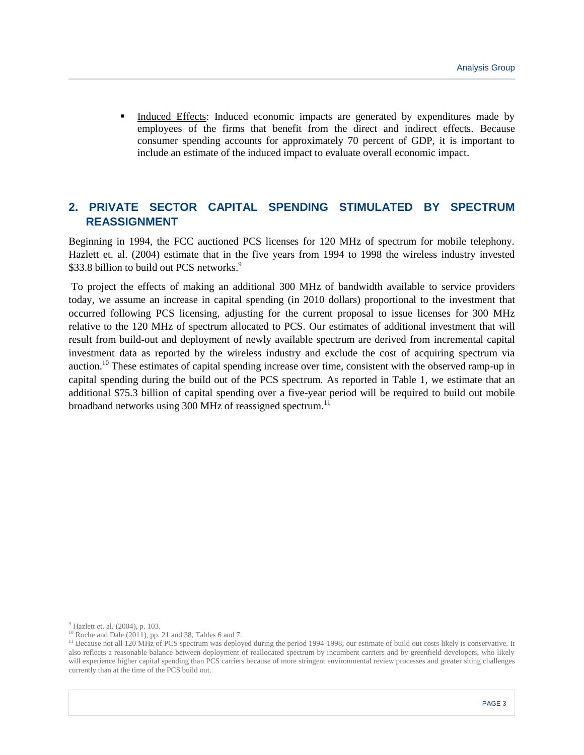Induced Effects: Induced economic impacts are generated by expenditures made by employees of the firms that benefit from the direct and indirect effects. Because consumer spending accounts for approximately 70 percent of GDP, it is important to include an estimate of the induced impact to evaluate overall economic impact.

# **2. PRIVATE SECTOR CAPITAL SPENDING STIMULATED BY SPECTRUM REASSIGNMENT**

Beginning in 1994, the FCC auctioned PCS licenses for 120 MHz of spectrum for mobile telephony. Hazlett et. al. (2004) estimate that in the five years from 1994 to 1998 the wireless industry invested \$33.8 billion to build out PCS networks.<sup>9</sup>

To project the effects of making an additional 300 MHz of bandwidth available to service providers today, we assume an increase in capital spending (in 2010 dollars) proportional to the investment that occurred following PCS licensing, adjusting for the current proposal to issue licenses for 300 MHz relative to the 120 MHz of spectrum allocated to PCS. Our estimates of additional investment that will result from build-out and deployment of newly available spectrum are derived from incremental capital investment data as reported by the wireless industry and exclude the cost of acquiring spectrum via auction.<sup>10</sup> These estimates of capital spending increase over time, consistent with the observed ramp-up in capital spending during the build out of the PCS spectrum. As reported in Table 1, we estimate that an additional \$75.3 billion of capital spending over a five-year period will be required to build out mobile broadband networks using 300 MHz of reassigned spectrum.<sup>11</sup>

<sup>9</sup> Hazlett et. al. (2004), p. 103.

 $10$  Roche and Dale (2011), pp. 21 and 38, Tables 6 and 7.

<sup>&</sup>lt;sup>11</sup> Because not all 120 MHz of PCS spectrum was deployed during the period 1994-1998, our estimate of build out costs likely is conservative. It also reflects a reasonable balance between deployment of reallocated spectrum by incumbent carriers and by greenfield developers, who likely will experience higher capital spending than PCS carriers because of more stringent environmental review processes and greater siting challenges currently than at the time of the PCS build out.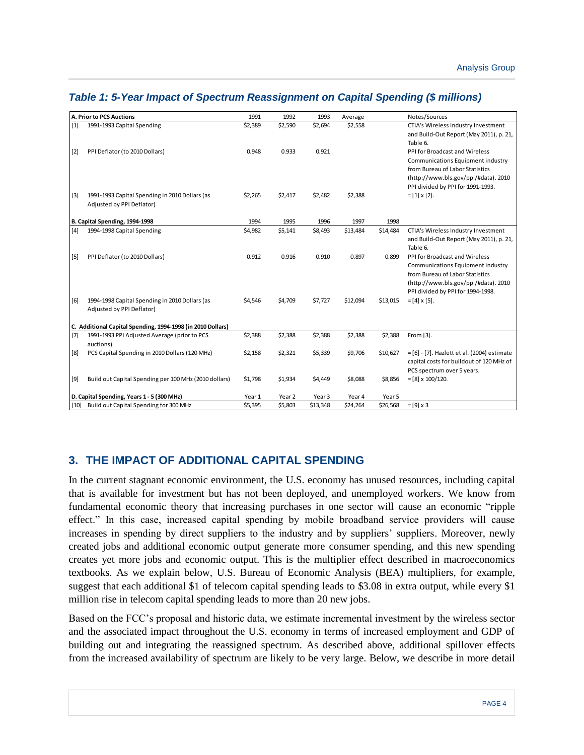| $[1]$<br>\$2,694<br>1991-1993 Capital Spending<br>\$2,389<br>\$2,590<br>\$2,558<br>CTIA's Wireless Industry Investment<br>and Build-Out Report (May 2011), p. 21,<br>Table 6.<br>PPI Deflator (to 2010 Dollars)<br>0.933<br>0.921<br>PPI for Broadcast and Wireless<br>$[2]$<br>0.948<br>Communications Equipment industry<br>from Bureau of Labor Statistics<br>(http://www.bls.gov/ppi/#data). 2010<br>PPI divided by PPI for 1991-1993.<br>$[3]$<br>1991-1993 Capital Spending in 2010 Dollars (as<br>\$2,265<br>\$2,417<br>\$2,482<br>\$2,388<br>$=[1] \times [2].$<br>Adjusted by PPI Deflator)<br>B. Capital Spending, 1994-1998<br>1994<br>1995<br>1996<br>1997<br>1998<br>\$5,141<br>\$13,484<br>CTIA's Wireless Industry Investment<br>$[4]$<br>1994-1998 Capital Spending<br>\$4,982<br>\$8,493<br>\$14,484<br>and Build-Out Report (May 2011), p. 21,<br>Table 6.<br>PPI Deflator (to 2010 Dollars)<br>0.916<br>0.910<br>0.897<br>0.899<br>PPI for Broadcast and Wireless<br>$[5]$<br>0.912<br>Communications Equipment industry<br>from Bureau of Labor Statistics<br>(http://www.bls.gov/ppi/#data). 2010<br>PPI divided by PPI for 1994-1998.<br>$=[4] \times [5]$ .<br>$[6]$<br>1994-1998 Capital Spending in 2010 Dollars (as<br>\$4,546<br>\$4,709<br>\$7,727<br>\$12,094<br>\$13,015<br>Adjusted by PPI Deflator)<br>C. Additional Capital Spending, 1994-1998 (in 2010 Dollars)<br>\$2,388<br>$[7]$<br>\$2,388<br>\$2,388<br>\$2,388<br>\$2,388<br>From [3].<br>1991-1993 PPI Adjusted Average (prior to PCS<br>auctions)<br>PCS Capital Spending in 2010 Dollars (120 MHz)<br>\$2,321<br>\$5,339<br>\$9,706<br>= [6] - [7]. Hazlett et al. (2004) estimate<br>[8]<br>\$2,158<br>\$10,627<br>capital costs for buildout of 120 MHz of<br>PCS spectrum over 5 years. | <b>A. Prior to PCS Auctions</b> |  | 1991 | 1992 | 1993 | Average |  | Notes/Sources |  |  |  |
|----------------------------------------------------------------------------------------------------------------------------------------------------------------------------------------------------------------------------------------------------------------------------------------------------------------------------------------------------------------------------------------------------------------------------------------------------------------------------------------------------------------------------------------------------------------------------------------------------------------------------------------------------------------------------------------------------------------------------------------------------------------------------------------------------------------------------------------------------------------------------------------------------------------------------------------------------------------------------------------------------------------------------------------------------------------------------------------------------------------------------------------------------------------------------------------------------------------------------------------------------------------------------------------------------------------------------------------------------------------------------------------------------------------------------------------------------------------------------------------------------------------------------------------------------------------------------------------------------------------------------------------------------------------------------------------------------------------------------------------------------------------------------------------|---------------------------------|--|------|------|------|---------|--|---------------|--|--|--|
|                                                                                                                                                                                                                                                                                                                                                                                                                                                                                                                                                                                                                                                                                                                                                                                                                                                                                                                                                                                                                                                                                                                                                                                                                                                                                                                                                                                                                                                                                                                                                                                                                                                                                                                                                                                        |                                 |  |      |      |      |         |  |               |  |  |  |
|                                                                                                                                                                                                                                                                                                                                                                                                                                                                                                                                                                                                                                                                                                                                                                                                                                                                                                                                                                                                                                                                                                                                                                                                                                                                                                                                                                                                                                                                                                                                                                                                                                                                                                                                                                                        |                                 |  |      |      |      |         |  |               |  |  |  |
|                                                                                                                                                                                                                                                                                                                                                                                                                                                                                                                                                                                                                                                                                                                                                                                                                                                                                                                                                                                                                                                                                                                                                                                                                                                                                                                                                                                                                                                                                                                                                                                                                                                                                                                                                                                        |                                 |  |      |      |      |         |  |               |  |  |  |
|                                                                                                                                                                                                                                                                                                                                                                                                                                                                                                                                                                                                                                                                                                                                                                                                                                                                                                                                                                                                                                                                                                                                                                                                                                                                                                                                                                                                                                                                                                                                                                                                                                                                                                                                                                                        |                                 |  |      |      |      |         |  |               |  |  |  |
|                                                                                                                                                                                                                                                                                                                                                                                                                                                                                                                                                                                                                                                                                                                                                                                                                                                                                                                                                                                                                                                                                                                                                                                                                                                                                                                                                                                                                                                                                                                                                                                                                                                                                                                                                                                        |                                 |  |      |      |      |         |  |               |  |  |  |
|                                                                                                                                                                                                                                                                                                                                                                                                                                                                                                                                                                                                                                                                                                                                                                                                                                                                                                                                                                                                                                                                                                                                                                                                                                                                                                                                                                                                                                                                                                                                                                                                                                                                                                                                                                                        |                                 |  |      |      |      |         |  |               |  |  |  |
|                                                                                                                                                                                                                                                                                                                                                                                                                                                                                                                                                                                                                                                                                                                                                                                                                                                                                                                                                                                                                                                                                                                                                                                                                                                                                                                                                                                                                                                                                                                                                                                                                                                                                                                                                                                        |                                 |  |      |      |      |         |  |               |  |  |  |
|                                                                                                                                                                                                                                                                                                                                                                                                                                                                                                                                                                                                                                                                                                                                                                                                                                                                                                                                                                                                                                                                                                                                                                                                                                                                                                                                                                                                                                                                                                                                                                                                                                                                                                                                                                                        |                                 |  |      |      |      |         |  |               |  |  |  |
|                                                                                                                                                                                                                                                                                                                                                                                                                                                                                                                                                                                                                                                                                                                                                                                                                                                                                                                                                                                                                                                                                                                                                                                                                                                                                                                                                                                                                                                                                                                                                                                                                                                                                                                                                                                        |                                 |  |      |      |      |         |  |               |  |  |  |
|                                                                                                                                                                                                                                                                                                                                                                                                                                                                                                                                                                                                                                                                                                                                                                                                                                                                                                                                                                                                                                                                                                                                                                                                                                                                                                                                                                                                                                                                                                                                                                                                                                                                                                                                                                                        |                                 |  |      |      |      |         |  |               |  |  |  |
|                                                                                                                                                                                                                                                                                                                                                                                                                                                                                                                                                                                                                                                                                                                                                                                                                                                                                                                                                                                                                                                                                                                                                                                                                                                                                                                                                                                                                                                                                                                                                                                                                                                                                                                                                                                        |                                 |  |      |      |      |         |  |               |  |  |  |
|                                                                                                                                                                                                                                                                                                                                                                                                                                                                                                                                                                                                                                                                                                                                                                                                                                                                                                                                                                                                                                                                                                                                                                                                                                                                                                                                                                                                                                                                                                                                                                                                                                                                                                                                                                                        |                                 |  |      |      |      |         |  |               |  |  |  |
|                                                                                                                                                                                                                                                                                                                                                                                                                                                                                                                                                                                                                                                                                                                                                                                                                                                                                                                                                                                                                                                                                                                                                                                                                                                                                                                                                                                                                                                                                                                                                                                                                                                                                                                                                                                        |                                 |  |      |      |      |         |  |               |  |  |  |
|                                                                                                                                                                                                                                                                                                                                                                                                                                                                                                                                                                                                                                                                                                                                                                                                                                                                                                                                                                                                                                                                                                                                                                                                                                                                                                                                                                                                                                                                                                                                                                                                                                                                                                                                                                                        |                                 |  |      |      |      |         |  |               |  |  |  |
|                                                                                                                                                                                                                                                                                                                                                                                                                                                                                                                                                                                                                                                                                                                                                                                                                                                                                                                                                                                                                                                                                                                                                                                                                                                                                                                                                                                                                                                                                                                                                                                                                                                                                                                                                                                        |                                 |  |      |      |      |         |  |               |  |  |  |
|                                                                                                                                                                                                                                                                                                                                                                                                                                                                                                                                                                                                                                                                                                                                                                                                                                                                                                                                                                                                                                                                                                                                                                                                                                                                                                                                                                                                                                                                                                                                                                                                                                                                                                                                                                                        |                                 |  |      |      |      |         |  |               |  |  |  |
|                                                                                                                                                                                                                                                                                                                                                                                                                                                                                                                                                                                                                                                                                                                                                                                                                                                                                                                                                                                                                                                                                                                                                                                                                                                                                                                                                                                                                                                                                                                                                                                                                                                                                                                                                                                        |                                 |  |      |      |      |         |  |               |  |  |  |
|                                                                                                                                                                                                                                                                                                                                                                                                                                                                                                                                                                                                                                                                                                                                                                                                                                                                                                                                                                                                                                                                                                                                                                                                                                                                                                                                                                                                                                                                                                                                                                                                                                                                                                                                                                                        |                                 |  |      |      |      |         |  |               |  |  |  |
|                                                                                                                                                                                                                                                                                                                                                                                                                                                                                                                                                                                                                                                                                                                                                                                                                                                                                                                                                                                                                                                                                                                                                                                                                                                                                                                                                                                                                                                                                                                                                                                                                                                                                                                                                                                        |                                 |  |      |      |      |         |  |               |  |  |  |
|                                                                                                                                                                                                                                                                                                                                                                                                                                                                                                                                                                                                                                                                                                                                                                                                                                                                                                                                                                                                                                                                                                                                                                                                                                                                                                                                                                                                                                                                                                                                                                                                                                                                                                                                                                                        |                                 |  |      |      |      |         |  |               |  |  |  |
|                                                                                                                                                                                                                                                                                                                                                                                                                                                                                                                                                                                                                                                                                                                                                                                                                                                                                                                                                                                                                                                                                                                                                                                                                                                                                                                                                                                                                                                                                                                                                                                                                                                                                                                                                                                        |                                 |  |      |      |      |         |  |               |  |  |  |
|                                                                                                                                                                                                                                                                                                                                                                                                                                                                                                                                                                                                                                                                                                                                                                                                                                                                                                                                                                                                                                                                                                                                                                                                                                                                                                                                                                                                                                                                                                                                                                                                                                                                                                                                                                                        |                                 |  |      |      |      |         |  |               |  |  |  |
|                                                                                                                                                                                                                                                                                                                                                                                                                                                                                                                                                                                                                                                                                                                                                                                                                                                                                                                                                                                                                                                                                                                                                                                                                                                                                                                                                                                                                                                                                                                                                                                                                                                                                                                                                                                        |                                 |  |      |      |      |         |  |               |  |  |  |
|                                                                                                                                                                                                                                                                                                                                                                                                                                                                                                                                                                                                                                                                                                                                                                                                                                                                                                                                                                                                                                                                                                                                                                                                                                                                                                                                                                                                                                                                                                                                                                                                                                                                                                                                                                                        |                                 |  |      |      |      |         |  |               |  |  |  |
|                                                                                                                                                                                                                                                                                                                                                                                                                                                                                                                                                                                                                                                                                                                                                                                                                                                                                                                                                                                                                                                                                                                                                                                                                                                                                                                                                                                                                                                                                                                                                                                                                                                                                                                                                                                        |                                 |  |      |      |      |         |  |               |  |  |  |
|                                                                                                                                                                                                                                                                                                                                                                                                                                                                                                                                                                                                                                                                                                                                                                                                                                                                                                                                                                                                                                                                                                                                                                                                                                                                                                                                                                                                                                                                                                                                                                                                                                                                                                                                                                                        |                                 |  |      |      |      |         |  |               |  |  |  |
|                                                                                                                                                                                                                                                                                                                                                                                                                                                                                                                                                                                                                                                                                                                                                                                                                                                                                                                                                                                                                                                                                                                                                                                                                                                                                                                                                                                                                                                                                                                                                                                                                                                                                                                                                                                        |                                 |  |      |      |      |         |  |               |  |  |  |
| $[9]$<br>Build out Capital Spending per 100 MHz (2010 dollars)<br>\$1,798<br>\$1,934<br>\$4,449<br>\$8,088<br>\$8,856<br>$=[8] \times 100/120.$                                                                                                                                                                                                                                                                                                                                                                                                                                                                                                                                                                                                                                                                                                                                                                                                                                                                                                                                                                                                                                                                                                                                                                                                                                                                                                                                                                                                                                                                                                                                                                                                                                        |                                 |  |      |      |      |         |  |               |  |  |  |
| D. Capital Spending, Years 1 - 5 (300 MHz)<br>Year 1<br>Year 2<br>Year 3<br>Year 5<br>Year 4                                                                                                                                                                                                                                                                                                                                                                                                                                                                                                                                                                                                                                                                                                                                                                                                                                                                                                                                                                                                                                                                                                                                                                                                                                                                                                                                                                                                                                                                                                                                                                                                                                                                                           |                                 |  |      |      |      |         |  |               |  |  |  |
| Build out Capital Spending for 300 MHz<br>$=[9] \times 3$<br>\$5,395<br>\$5,803<br>\$13,348<br>\$24,264<br>\$26,568<br>$[10]$                                                                                                                                                                                                                                                                                                                                                                                                                                                                                                                                                                                                                                                                                                                                                                                                                                                                                                                                                                                                                                                                                                                                                                                                                                                                                                                                                                                                                                                                                                                                                                                                                                                          |                                 |  |      |      |      |         |  |               |  |  |  |

## *Table 1: 5-Year Impact of Spectrum Reassignment on Capital Spending (\$ millions)*

## **3. THE IMPACT OF ADDITIONAL CAPITAL SPENDING**

In the current stagnant economic environment, the U.S. economy has unused resources, including capital that is available for investment but has not been deployed, and unemployed workers. We know from fundamental economic theory that increasing purchases in one sector will cause an economic "ripple effect." In this case, increased capital spending by mobile broadband service providers will cause increases in spending by direct suppliers to the industry and by suppliers' suppliers. Moreover, newly created jobs and additional economic output generate more consumer spending, and this new spending creates yet more jobs and economic output. This is the multiplier effect described in macroeconomics textbooks. As we explain below, U.S. Bureau of Economic Analysis (BEA) multipliers, for example, suggest that each additional \$1 of telecom capital spending leads to \$3.08 in extra output, while every \$1 million rise in telecom capital spending leads to more than 20 new jobs.

Based on the FCC's proposal and historic data, we estimate incremental investment by the wireless sector and the associated impact throughout the U.S. economy in terms of increased employment and GDP of building out and integrating the reassigned spectrum. As described above, additional spillover effects from the increased availability of spectrum are likely to be very large. Below, we describe in more detail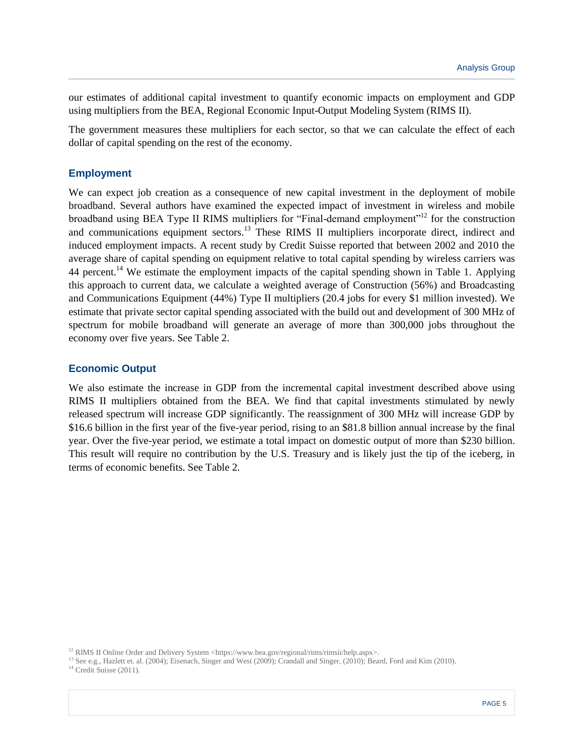our estimates of additional capital investment to quantify economic impacts on employment and GDP using multipliers from the BEA, Regional Economic Input-Output Modeling System (RIMS II).

The government measures these multipliers for each sector, so that we can calculate the effect of each dollar of capital spending on the rest of the economy.

### **Employment**

We can expect job creation as a consequence of new capital investment in the deployment of mobile broadband. Several authors have examined the expected impact of investment in wireless and mobile broadband using BEA Type II RIMS multipliers for "Final-demand employment"<sup>12</sup> for the construction and communications equipment sectors.<sup>13</sup> These RIMS II multipliers incorporate direct, indirect and induced employment impacts. A recent study by Credit Suisse reported that between 2002 and 2010 the average share of capital spending on equipment relative to total capital spending by wireless carriers was 44 percent.<sup>14</sup> We estimate the employment impacts of the capital spending shown in Table 1. Applying this approach to current data, we calculate a weighted average of Construction (56%) and Broadcasting and Communications Equipment (44%) Type II multipliers (20.4 jobs for every \$1 million invested). We estimate that private sector capital spending associated with the build out and development of 300 MHz of spectrum for mobile broadband will generate an average of more than 300,000 jobs throughout the economy over five years. See Table 2.

#### **Economic Output**

We also estimate the increase in GDP from the incremental capital investment described above using RIMS II multipliers obtained from the BEA. We find that capital investments stimulated by newly released spectrum will increase GDP significantly. The reassignment of 300 MHz will increase GDP by \$16.6 billion in the first year of the five-year period, rising to an \$81.8 billion annual increase by the final year. Over the five-year period, we estimate a total impact on domestic output of more than \$230 billion. This result will require no contribution by the U.S. Treasury and is likely just the tip of the iceberg, in terms of economic benefits. See Table 2.

<sup>13</sup> See e.g., Hazlett et. al. (2004); Eisenach, Singer and West (2009); Crandall and Singer, (2010); Beard, Ford and Kim (2010).

<sup>14</sup> Credit Suisse (2011).

<sup>&</sup>lt;sup>12</sup> RIMS II Online Order and Delivery System <https://www.bea.gov/regional/rims/rimsii/help.aspx>.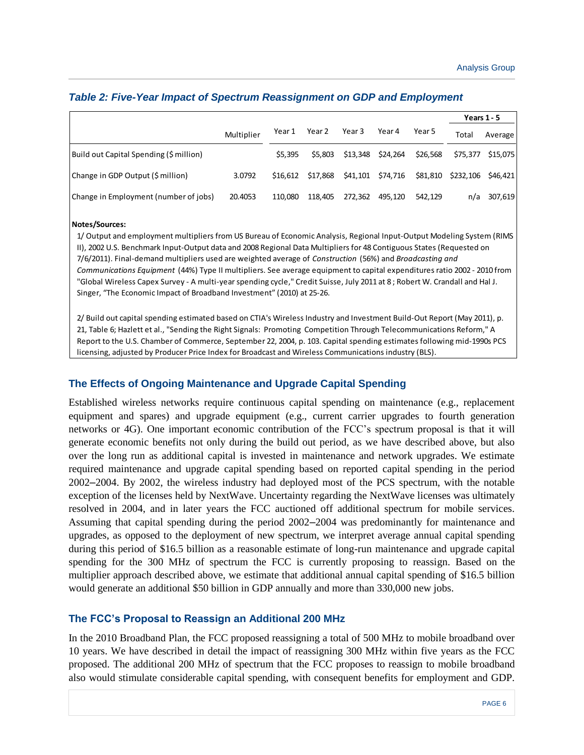|                                         |            |          |          |         |                   |          | Years $1 - 5$      |          |
|-----------------------------------------|------------|----------|----------|---------|-------------------|----------|--------------------|----------|
|                                         | Multiplier | Year 1   | Year 2   | Year 3  | Year 4            | Year 5   | Total              | Average  |
| Build out Capital Spending (\$ million) |            | \$5,395  | \$5,803  |         | \$13,348 \$24,264 | \$26,568 | \$75,377           | \$15,075 |
| Change in GDP Output (\$ million)       | 3.0792     | \$16.612 | \$17,868 |         | \$41,101 \$74,716 | \$81,810 | \$232,106 \$46,421 |          |
| Change in Employment (number of jobs)   | 20.4053    | 110.080  | 118.405  | 272,362 | 495.120           | 542.129  | n/a                | 307,619  |

#### *Table 2: Five-Year Impact of Spectrum Reassignment on GDP and Employment*

#### **Notes/Sources:**

1/ Output and employment multipliers from US Bureau of Economic Analysis, Regional Input-Output Modeling System (RIMS II), 2002 U.S. Benchmark Input-Output data and 2008 Regional Data Multipliers for 48 Contiguous States (Requested on 7/6/2011). Final-demand multipliers used are weighted average of *Construction* (56%) and *Broadcasting and Communications Equipment* (44%) Type II multipliers. See average equipment to capital expenditures ratio 2002 - 2010 from "Global Wireless Capex Survey - A multi-year spending cycle," Credit Suisse, July 2011 at 8 ; Robert W. Crandall and Hal J. Singer, "The Economic Impact of Broadband Investment" (2010) at 25-26.

2/ Build out capital spending estimated based on CTIA's Wireless Industry and Investment Build-Out Report (May 2011), p. 21, Table 6; Hazlett et al., "Sending the Right Signals: Promoting Competition Through Telecommunications Reform," A Report to the U.S. Chamber of Commerce, September 22, 2004, p. 103. Capital spending estimates following mid-1990s PCS licensing, adjusted by Producer Price Index for Broadcast and Wireless Communications industry (BLS).

## **The Effects of Ongoing Maintenance and Upgrade Capital Spending**

Established wireless networks require continuous capital spending on maintenance (e.g., replacement equipment and spares) and upgrade equipment (e.g., current carrier upgrades to fourth generation networks or 4G). One important economic contribution of the FCC's spectrum proposal is that it will generate economic benefits not only during the build out period, as we have described above, but also over the long run as additional capital is invested in maintenance and network upgrades. We estimate required maintenance and upgrade capital spending based on reported capital spending in the period 2002–2004. By 2002, the wireless industry had deployed most of the PCS spectrum, with the notable exception of the licenses held by NextWave. Uncertainty regarding the NextWave licenses was ultimately resolved in 2004, and in later years the FCC auctioned off additional spectrum for mobile services. Assuming that capital spending during the period 2002–2004 was predominantly for maintenance and upgrades, as opposed to the deployment of new spectrum, we interpret average annual capital spending during this period of \$16.5 billion as a reasonable estimate of long-run maintenance and upgrade capital spending for the 300 MHz of spectrum the FCC is currently proposing to reassign. Based on the multiplier approach described above, we estimate that additional annual capital spending of \$16.5 billion would generate an additional \$50 billion in GDP annually and more than 330,000 new jobs.

#### **The FCC's Proposal to Reassign an Additional 200 MHz**

In the 2010 Broadband Plan, the FCC proposed reassigning a total of 500 MHz to mobile broadband over 10 years. We have described in detail the impact of reassigning 300 MHz within five years as the FCC proposed. The additional 200 MHz of spectrum that the FCC proposes to reassign to mobile broadband also would stimulate considerable capital spending, with consequent benefits for employment and GDP.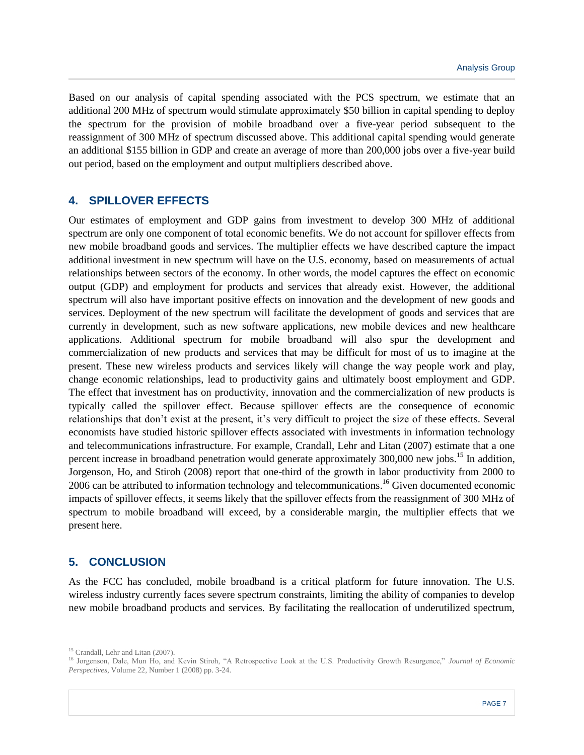Based on our analysis of capital spending associated with the PCS spectrum, we estimate that an additional 200 MHz of spectrum would stimulate approximately \$50 billion in capital spending to deploy the spectrum for the provision of mobile broadband over a five-year period subsequent to the reassignment of 300 MHz of spectrum discussed above. This additional capital spending would generate an additional \$155 billion in GDP and create an average of more than 200,000 jobs over a five-year build out period, based on the employment and output multipliers described above.

## **4. SPILLOVER EFFECTS**

Our estimates of employment and GDP gains from investment to develop 300 MHz of additional spectrum are only one component of total economic benefits. We do not account for spillover effects from new mobile broadband goods and services. The multiplier effects we have described capture the impact additional investment in new spectrum will have on the U.S. economy, based on measurements of actual relationships between sectors of the economy. In other words, the model captures the effect on economic output (GDP) and employment for products and services that already exist. However, the additional spectrum will also have important positive effects on innovation and the development of new goods and services. Deployment of the new spectrum will facilitate the development of goods and services that are currently in development, such as new software applications, new mobile devices and new healthcare applications. Additional spectrum for mobile broadband will also spur the development and commercialization of new products and services that may be difficult for most of us to imagine at the present. These new wireless products and services likely will change the way people work and play, change economic relationships, lead to productivity gains and ultimately boost employment and GDP. The effect that investment has on productivity, innovation and the commercialization of new products is typically called the spillover effect. Because spillover effects are the consequence of economic relationships that don't exist at the present, it's very difficult to project the size of these effects. Several economists have studied historic spillover effects associated with investments in information technology and telecommunications infrastructure. For example, Crandall, Lehr and Litan (2007) estimate that a one percent increase in broadband penetration would generate approximately 300,000 new jobs.<sup>15</sup> In addition, Jorgenson, Ho, and Stiroh (2008) report that one-third of the growth in labor productivity from 2000 to 2006 can be attributed to information technology and telecommunications.<sup>16</sup> Given documented economic impacts of spillover effects, it seems likely that the spillover effects from the reassignment of 300 MHz of spectrum to mobile broadband will exceed, by a considerable margin, the multiplier effects that we present here.

## **5. CONCLUSION**

As the FCC has concluded, mobile broadband is a critical platform for future innovation. The U.S. wireless industry currently faces severe spectrum constraints, limiting the ability of companies to develop new mobile broadband products and services. By facilitating the reallocation of underutilized spectrum,

<sup>&</sup>lt;sup>15</sup> Crandall, Lehr and Litan (2007).

<sup>16</sup> Jorgenson, Dale, Mun Ho, and Kevin Stiroh, "A Retrospective Look at the U.S. Productivity Growth Resurgence," *Journal of Economic Perspectives*, Volume 22, Number 1 (2008) pp. 3-24.